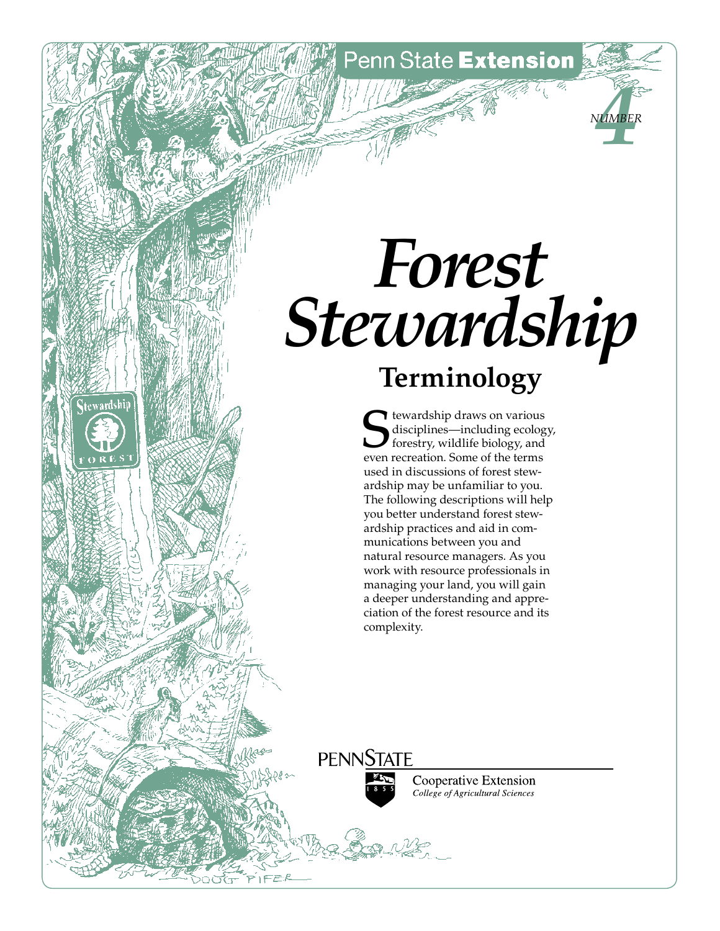Penn State Extension

*4 Number*

## *Forest Stewardship* **Terminology**

tewardship draws on various disciplines—including ecology, forestry, wildlife biology, and even recreation. Some of the terms used in discussions of forest stewardship may be unfamiliar to you. The following descriptions will help you better understand forest stewardship practices and aid in communications between you and natural resource managers. As you work with resource professionals in managing your land, you will gain a deeper understanding and appreciation of the forest resource and its complexity.

**PENNSTATE** 

**Stewardship** 



Cooperative Extension College of Agricultural Sciences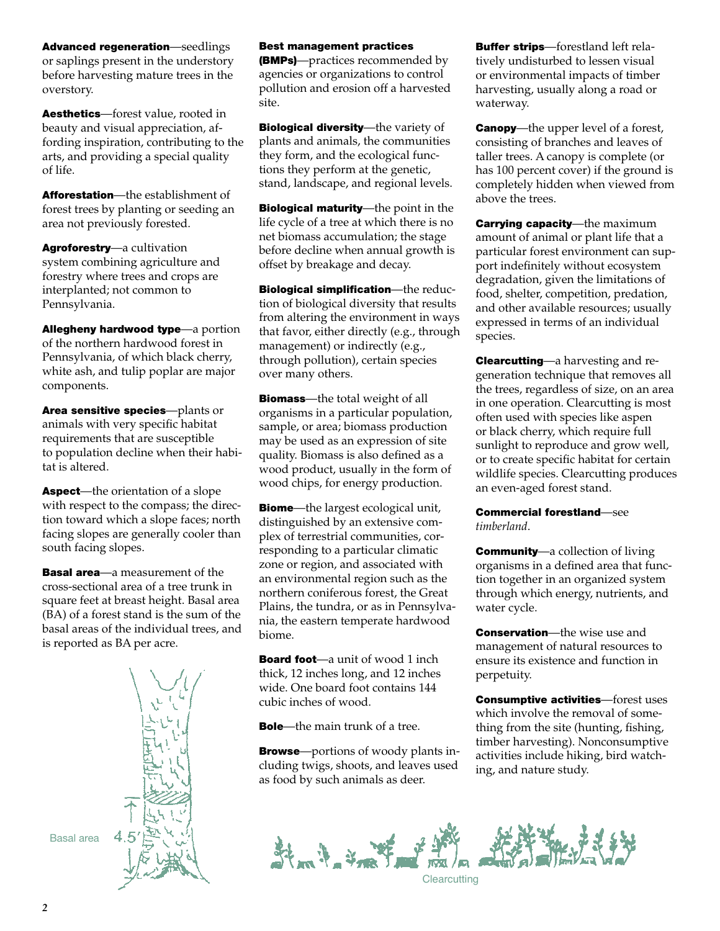Advanced regeneration—seedlings or saplings present in the understory before harvesting mature trees in the overstory.

Aesthetics—forest value, rooted in beauty and visual appreciation, affording inspiration, contributing to the arts, and providing a special quality of life.

Afforestation—the establishment of forest trees by planting or seeding an area not previously forested.

Agroforestry—a cultivation system combining agriculture and forestry where trees and crops are interplanted; not common to Pennsylvania.

Allegheny hardwood type—a portion of the northern hardwood forest in Pennsylvania, of which black cherry, white ash, and tulip poplar are major components.

Area sensitive species—plants or animals with very specific habitat requirements that are susceptible to population decline when their habitat is altered.

Aspect—the orientation of a slope with respect to the compass; the direction toward which a slope faces; north facing slopes are generally cooler than south facing slopes.

**Basal area**—a measurement of the cross-sectional area of a tree trunk in square feet at breast height. Basal area (BA) of a forest stand is the sum of the basal areas of the individual trees, and is reported as BA per acre.



## Best management practices

(BMPs)—practices recommended by agencies or organizations to control pollution and erosion off a harvested site.

Biological diversity-the variety of plants and animals, the communities they form, and the ecological functions they perform at the genetic, stand, landscape, and regional levels.

**Biological maturity**—the point in the life cycle of a tree at which there is no net biomass accumulation; the stage before decline when annual growth is offset by breakage and decay.

Biological simplification-the reduction of biological diversity that results from altering the environment in ways that favor, either directly (e.g., through management) or indirectly (e.g., through pollution), certain species over many others.

**Biomass**—the total weight of all organisms in a particular population, sample, or area; biomass production may be used as an expression of site quality. Biomass is also defined as a wood product, usually in the form of wood chips, for energy production.

**Biome**—the largest ecological unit, distinguished by an extensive complex of terrestrial communities, corresponding to a particular climatic zone or region, and associated with an environmental region such as the northern coniferous forest, the Great Plains, the tundra, or as in Pennsylvania, the eastern temperate hardwood biome.

**Board foot**—a unit of wood 1 inch thick, 12 inches long, and 12 inches wide. One board foot contains 144 cubic inches of wood.

**Bole**—the main trunk of a tree.

**Browse**—portions of woody plants including twigs, shoots, and leaves used as food by such animals as deer.

**Buffer strips**—forestland left relatively undisturbed to lessen visual or environmental impacts of timber harvesting, usually along a road or waterway.

**Canopy**—the upper level of a forest, consisting of branches and leaves of taller trees. A canopy is complete (or has 100 percent cover) if the ground is completely hidden when viewed from above the trees.

**Carrying capacity**—the maximum amount of animal or plant life that a particular forest environment can support indefinitely without ecosystem degradation, given the limitations of food, shelter, competition, predation, and other available resources; usually expressed in terms of an individual species.

Clearcutting—a harvesting and regeneration technique that removes all the trees, regardless of size, on an area in one operation. Clearcutting is most often used with species like aspen or black cherry, which require full sunlight to reproduce and grow well, or to create specific habitat for certain wildlife species. Clearcutting produces an even-aged forest stand.

Commercial forestland—see *timberland*.

**Community**—a collection of living organisms in a defined area that function together in an organized system through which energy, nutrients, and water cycle.

**Conservation**—the wise use and management of natural resources to ensure its existence and function in perpetuity.

Consumptive activities—forest uses which involve the removal of something from the site (hunting, fishing, timber harvesting). Nonconsumptive activities include hiking, bird watching, and nature study.

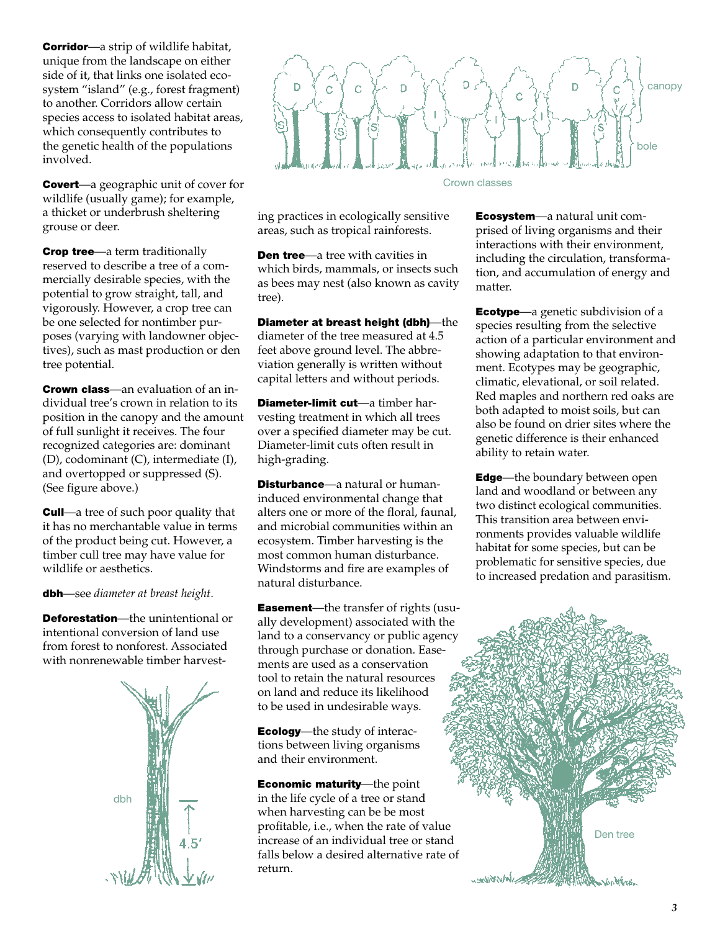**Corridor**—a strip of wildlife habitat, unique from the landscape on either side of it, that links one isolated ecosystem "island" (e.g., forest fragment) to another. Corridors allow certain species access to isolated habitat areas, which consequently contributes to the genetic health of the populations involved.

**Covert**—a geographic unit of cover for wildlife (usually game); for example, a thicket or underbrush sheltering grouse or deer.

**Crop tree**—a term traditionally reserved to describe a tree of a commercially desirable species, with the potential to grow straight, tall, and vigorously. However, a crop tree can be one selected for nontimber purposes (varying with landowner objectives), such as mast production or den tree potential.

**Crown class**—an evaluation of an individual tree's crown in relation to its position in the canopy and the amount of full sunlight it receives. The four recognized categories are: dominant (D), codominant (C), intermediate (I), and overtopped or suppressed (S). (See figure above.)

**Cull**—a tree of such poor quality that it has no merchantable value in terms of the product being cut. However, a timber cull tree may have value for wildlife or aesthetics.

dbh—see *diameter at breast height*.

Deforestation—the unintentional or intentional conversion of land use from forest to nonforest. Associated with nonrenewable timber harvest-





ing practices in ecologically sensitive areas, such as tropical rainforests.

**Den tree**—a tree with cavities in which birds, mammals, or insects such as bees may nest (also known as cavity tree).

Diameter at breast height (dbh)—the diameter of the tree measured at 4.5 feet above ground level. The abbreviation generally is written without capital letters and without periods.

Diameter-limit cut—a timber harvesting treatment in which all trees over a specified diameter may be cut. Diameter-limit cuts often result in high-grading.

Disturbance-a natural or humaninduced environmental change that alters one or more of the floral, faunal, and microbial communities within an ecosystem. Timber harvesting is the most common human disturbance. Windstorms and fire are examples of natural disturbance.

**Easement**—the transfer of rights (usually development) associated with the land to a conservancy or public agency through purchase or donation. Easements are used as a conservation tool to retain the natural resources on land and reduce its likelihood to be used in undesirable ways.

**Ecology**—the study of interactions between living organisms and their environment.

Economic maturity—the point in the life cycle of a tree or stand when harvesting can be be most profitable, i.e., when the rate of value increase of an individual tree or stand falls below a desired alternative rate of return.

Ecosystem—a natural unit comprised of living organisms and their interactions with their environment, including the circulation, transformation, and accumulation of energy and matter.

**Ecotype**—a genetic subdivision of a species resulting from the selective action of a particular environment and showing adaptation to that environment. Ecotypes may be geographic, climatic, elevational, or soil related. Red maples and northern red oaks are both adapted to moist soils, but can also be found on drier sites where the genetic difference is their enhanced ability to retain water.

**Edge**—the boundary between open land and woodland or between any two distinct ecological communities. This transition area between environments provides valuable wildlife habitat for some species, but can be problematic for sensitive species, due to increased predation and parasitism.

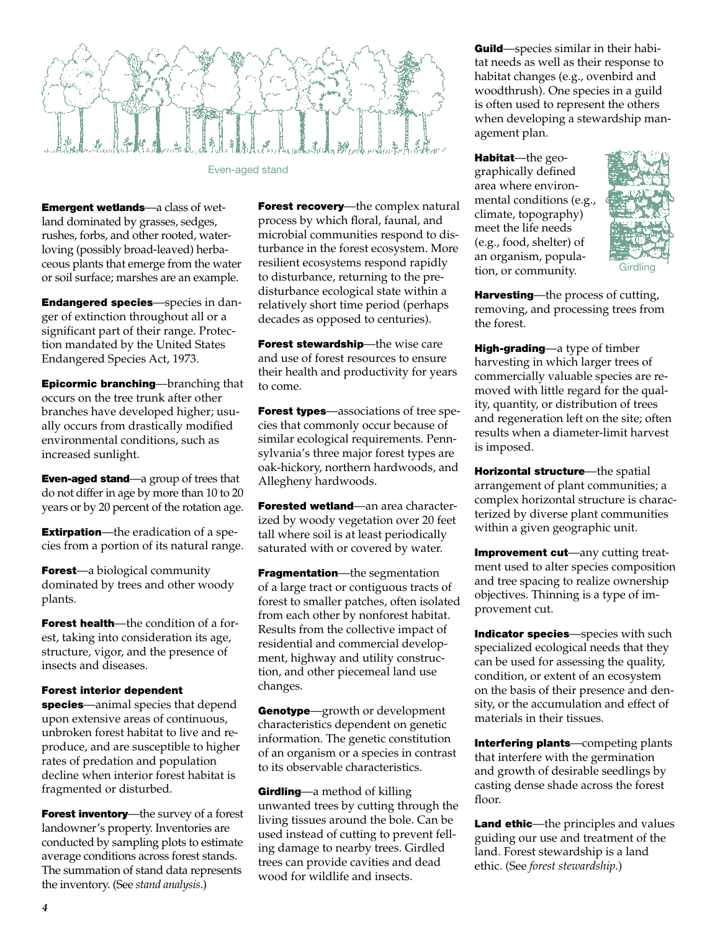

Even-aged stand

Emergent wetlands—a class of wetland dominated by grasses, sedges, rushes, forbs, and other rooted, waterloving (possibly broad-leaved) herbaceous plants that emerge from the water or soil surface; marshes are an example.

Endangered species—species in danger of extinction throughout all or a significant part of their range. Protection mandated by the United States Endangered Species Act, 1973.

Epicormic branching—branching that occurs on the tree trunk after other branches have developed higher; usually occurs from drastically modified environmental conditions, such as increased sunlight.

Even-aged stand—a group of trees that do not differ in age by more than 10 to 20 years or by 20 percent of the rotation age.

**Extirpation**—the eradication of a species from a portion of its natural range.

**Forest**—a biological community dominated by trees and other woody plants.

**Forest health**—the condition of a forest, taking into consideration its age, structure, vigor, and the presence of insects and diseases.

## Forest interior dependent

species—animal species that depend upon extensive areas of continuous, unbroken forest habitat to live and reproduce, and are susceptible to higher rates of predation and population decline when interior forest habitat is fragmented or disturbed.

Forest inventory—the survey of a forest landowner's property. Inventories are conducted by sampling plots to estimate average conditions across forest stands. The summation of stand data represents the inventory. (See *stand analysis*.)

Forest recovery-the complex natural process by which floral, faunal, and microbial communities respond to disturbance in the forest ecosystem. More resilient ecosystems respond rapidly to disturbance, returning to the predisturbance ecological state within a relatively short time period (perhaps decades as opposed to centuries).

Forest stewardship-the wise care and use of forest resources to ensure their health and productivity for years to come.

Forest types—associations of tree species that commonly occur because of similar ecological requirements. Pennsylvania's three major forest types are oak-hickory, northern hardwoods, and Allegheny hardwoods.

Forested wetland—an area characterized by woody vegetation over 20 feet tall where soil is at least periodically saturated with or covered by water.

**Fragmentation**—the segmentation of a large tract or contiguous tracts of forest to smaller patches, often isolated from each other by nonforest habitat. Results from the collective impact of residential and commercial development, highway and utility construction, and other piecemeal land use changes.

Genotype-growth or development characteristics dependent on genetic information. The genetic constitution of an organism or a species in contrast to its observable characteristics.

Girdling—a method of killing unwanted trees by cutting through the living tissues around the bole. Can be used instead of cutting to prevent felling damage to nearby trees. Girdled trees can provide cavities and dead wood for wildlife and insects.

**Guild**—species similar in their habitat needs as well as their response to habitat changes (e.g., ovenbird and woodthrush). One species in a guild is often used to represent the others when developing a stewardship management plan.

Habitat-the geographically defined area where environmental conditions (e.g., climate, topography) meet the life needs (e.g., food, shelter) of an organism, population, or community.



Harvesting-the process of cutting, removing, and processing trees from the forest.

High-grading—a type of timber harvesting in which larger trees of commercially valuable species are removed with little regard for the quality, quantity, or distribution of trees and regeneration left on the site; often results when a diameter-limit harvest is imposed.

Horizontal structure—the spatial arrangement of plant communities; a complex horizontal structure is characterized by diverse plant communities within a given geographic unit.

Improvement cut-any cutting treatment used to alter species composition and tree spacing to realize ownership objectives. Thinning is a type of improvement cut.

Indicator species-species with such specialized ecological needs that they can be used for assessing the quality, condition, or extent of an ecosystem on the basis of their presence and density, or the accumulation and effect of materials in their tissues.

Interfering plants—competing plants that interfere with the germination and growth of desirable seedlings by casting dense shade across the forest floor.

**Land ethic**—the principles and values guiding our use and treatment of the land. Forest stewardship is a land ethic. (See *forest stewardship*.)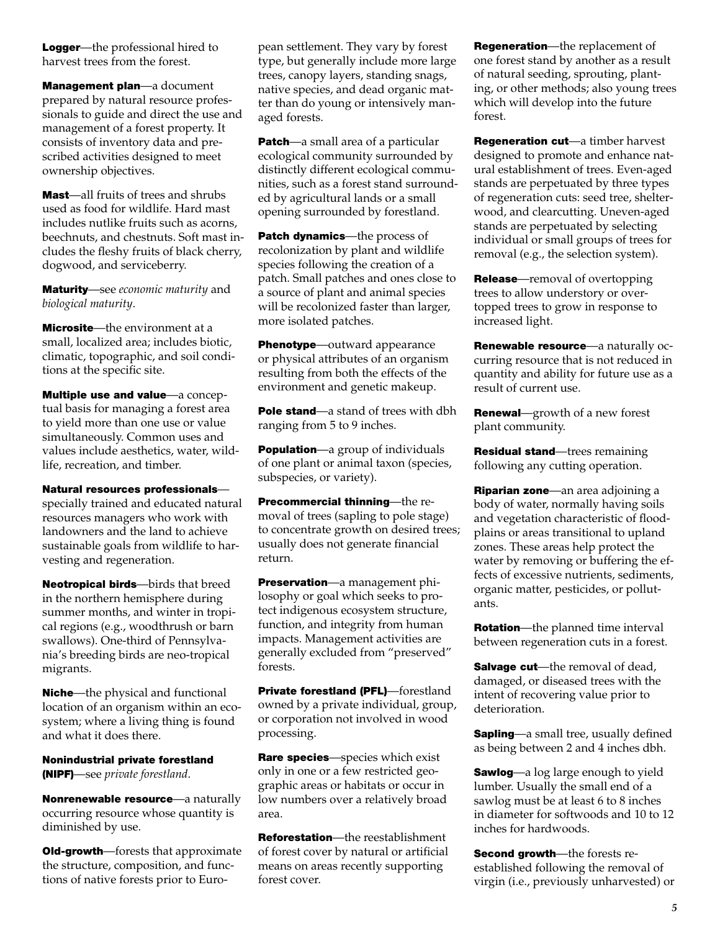Logger—the professional hired to harvest trees from the forest.

Management plan—a document prepared by natural resource professionals to guide and direct the use and management of a forest property. It consists of inventory data and prescribed activities designed to meet ownership objectives.

Mast—all fruits of trees and shrubs used as food for wildlife. Hard mast includes nutlike fruits such as acorns, beechnuts, and chestnuts. Soft mast includes the fleshy fruits of black cherry, dogwood, and serviceberry.

Maturity—see *economic maturity* and *biological maturity*.

Microsite—the environment at a small, localized area; includes biotic, climatic, topographic, and soil conditions at the specific site.

Multiple use and value—a conceptual basis for managing a forest area to yield more than one use or value simultaneously. Common uses and values include aesthetics, water, wildlife, recreation, and timber.

Natural resources professionals—

specially trained and educated natural resources managers who work with landowners and the land to achieve sustainable goals from wildlife to harvesting and regeneration.

Neotropical birds—birds that breed in the northern hemisphere during summer months, and winter in tropical regions (e.g., woodthrush or barn swallows). One-third of Pennsylvania's breeding birds are neo-tropical migrants.

**Niche**—the physical and functional location of an organism within an ecosystem; where a living thing is found and what it does there.

Nonindustrial private forestland (NIPF)—see *private forestland*.

Nonrenewable resource-a naturally occurring resource whose quantity is diminished by use.

**Old-growth**—forests that approximate the structure, composition, and functions of native forests prior to European settlement. They vary by forest type, but generally include more large trees, canopy layers, standing snags, native species, and dead organic matter than do young or intensively managed forests.

**Patch**—a small area of a particular ecological community surrounded by distinctly different ecological communities, such as a forest stand surrounded by agricultural lands or a small opening surrounded by forestland.

Patch dynamics-the process of recolonization by plant and wildlife species following the creation of a patch. Small patches and ones close to a source of plant and animal species will be recolonized faster than larger, more isolated patches.

Phenotype—outward appearance or physical attributes of an organism resulting from both the effects of the environment and genetic makeup.

Pole stand—a stand of trees with dbh ranging from 5 to 9 inches.

**Population**—a group of individuals of one plant or animal taxon (species, subspecies, or variety).

Precommercial thinning—the removal of trees (sapling to pole stage) to concentrate growth on desired trees; usually does not generate financial return.

**Preservation—a management phi**losophy or goal which seeks to protect indigenous ecosystem structure, function, and integrity from human impacts. Management activities are generally excluded from "preserved" forests.

Private forestland (PFL)-forestland owned by a private individual, group, or corporation not involved in wood processing.

Rare species—species which exist only in one or a few restricted geographic areas or habitats or occur in low numbers over a relatively broad area.

Reforestation—the reestablishment of forest cover by natural or artificial means on areas recently supporting forest cover.

Regeneration—the replacement of one forest stand by another as a result of natural seeding, sprouting, planting, or other methods; also young trees which will develop into the future forest.

Regeneration cut—a timber harvest designed to promote and enhance natural establishment of trees. Even-aged stands are perpetuated by three types of regeneration cuts: seed tree, shelterwood, and clearcutting. Uneven-aged stands are perpetuated by selecting individual or small groups of trees for removal (e.g., the selection system).

**Release**—removal of overtopping trees to allow understory or overtopped trees to grow in response to increased light.

**Renewable resource**—a naturally occurring resource that is not reduced in quantity and ability for future use as a result of current use.

Renewal-growth of a new forest plant community.

Residual stand—trees remaining following any cutting operation.

Riparian zone—an area adjoining a body of water, normally having soils and vegetation characteristic of floodplains or areas transitional to upland zones. These areas help protect the water by removing or buffering the effects of excessive nutrients, sediments, organic matter, pesticides, or pollutants.

**Rotation**—the planned time interval between regeneration cuts in a forest.

**Salvage cut**—the removal of dead, damaged, or diseased trees with the intent of recovering value prior to deterioration.

**Sapling**—a small tree, usually defined as being between 2 and 4 inches dbh.

**Sawlog**—a log large enough to yield lumber. Usually the small end of a sawlog must be at least 6 to 8 inches in diameter for softwoods and 10 to 12 inches for hardwoods.

Second growth-the forests reestablished following the removal of virgin (i.e., previously unharvested) or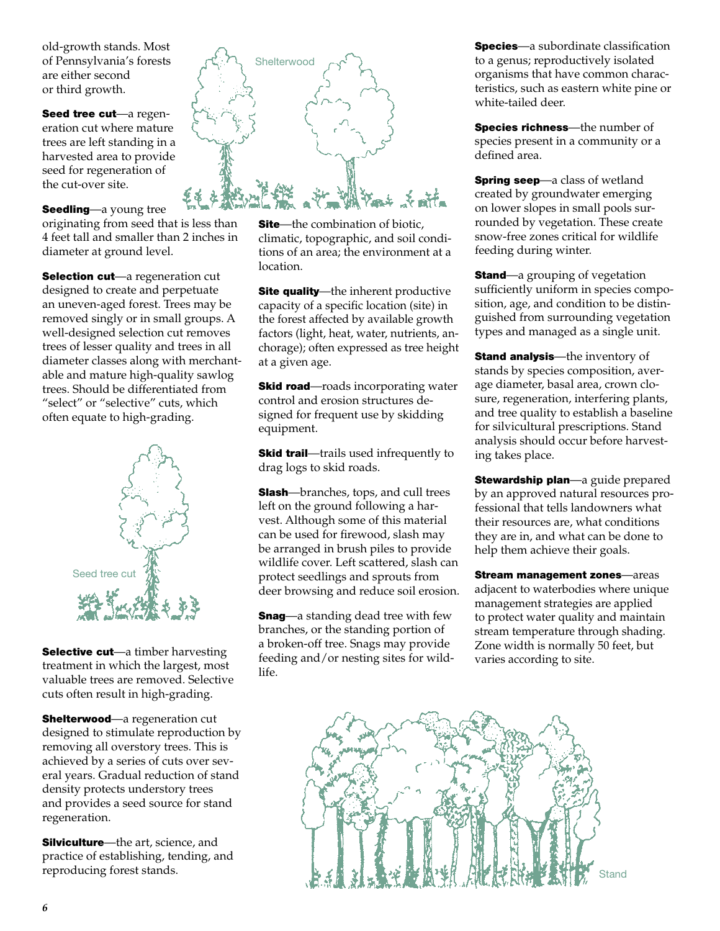old-growth stands. Most of Pennsylvania's forests are either second or third growth.

Seed tree cut-a regeneration cut where mature trees are left standing in a harvested area to provide seed for regeneration of the cut-over site.

Seedling—a young tree

originating from seed that is less than 4 feet tall and smaller than 2 inches in diameter at ground level.

Selection cut-a regeneration cut designed to create and perpetuate an uneven-aged forest. Trees may be removed singly or in small groups. A well-designed selection cut removes trees of lesser quality and trees in all diameter classes along with merchantable and mature high-quality sawlog trees. Should be differentiated from "select" or "selective" cuts, which often equate to high-grading.



Selective cut-a timber harvesting treatment in which the largest, most valuable trees are removed. Selective cuts often result in high-grading.

**Shelterwood**—a regeneration cut designed to stimulate reproduction by removing all overstory trees. This is achieved by a series of cuts over several years. Gradual reduction of stand density protects understory trees and provides a seed source for stand regeneration.

**Silviculture**—the art, science, and practice of establishing, tending, and reproducing forest stands.



**Site**—the combination of biotic, climatic, topographic, and soil conditions of an area; the environment at a location.

**Site quality**—the inherent productive capacity of a specific location (site) in the forest affected by available growth factors (light, heat, water, nutrients, anchorage); often expressed as tree height at a given age.

**Skid road**—roads incorporating water control and erosion structures designed for frequent use by skidding equipment.

**Skid trail**—trails used infrequently to drag logs to skid roads.

**Slash**—branches, tops, and cull trees left on the ground following a harvest. Although some of this material can be used for firewood, slash may be arranged in brush piles to provide wildlife cover. Left scattered, slash can protect seedlings and sprouts from deer browsing and reduce soil erosion.

**Snag**—a standing dead tree with few branches, or the standing portion of a broken-off tree. Snags may provide feeding and/or nesting sites for wildlife.

**Species**—a subordinate classification to a genus; reproductively isolated organisms that have common characteristics, such as eastern white pine or white-tailed deer.

Species richness-the number of species present in a community or a defined area.

**Spring seep**—a class of wetland created by groundwater emerging on lower slopes in small pools surrounded by vegetation. These create snow-free zones critical for wildlife feeding during winter.

**Stand**—a grouping of vegetation sufficiently uniform in species composition, age, and condition to be distinguished from surrounding vegetation types and managed as a single unit.

**Stand analysis**—the inventory of stands by species composition, average diameter, basal area, crown closure, regeneration, interfering plants, and tree quality to establish a baseline for silvicultural prescriptions. Stand analysis should occur before harvesting takes place.

**Stewardship plan—a guide prepared** by an approved natural resources professional that tells landowners what their resources are, what conditions they are in, and what can be done to help them achieve their goals.

Stream management zones—areas adjacent to waterbodies where unique management strategies are applied to protect water quality and maintain stream temperature through shading. Zone width is normally 50 feet, but varies according to site.

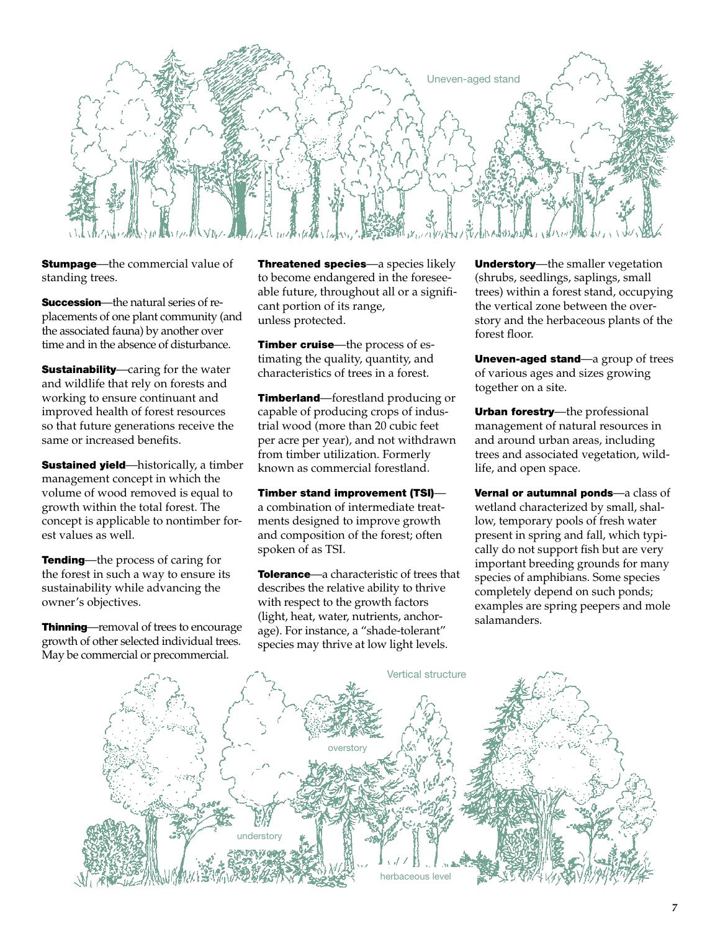

**Stumpage**—the commercial value of standing trees.

**Succession**—the natural series of replacements of one plant community (and the associated fauna) by another over time and in the absence of disturbance.

**Sustainability**—caring for the water and wildlife that rely on forests and working to ensure continuant and improved health of forest resources so that future generations receive the same or increased benefits.

**Sustained yield**—historically, a timber management concept in which the volume of wood removed is equal to growth within the total forest. The concept is applicable to nontimber forest values as well.

**Tending**—the process of caring for the forest in such a way to ensure its sustainability while advancing the owner's objectives.

Thinning—removal of trees to encourage growth of other selected individual trees. May be commercial or precommercial.

Threatened species—a species likely to become endangered in the foreseeable future, throughout all or a significant portion of its range, unless protected.

Timber cruise—the process of estimating the quality, quantity, and characteristics of trees in a forest.

**Timberland**—forestland producing or capable of producing crops of industrial wood (more than 20 cubic feet per acre per year), and not withdrawn from timber utilization. Formerly known as commercial forestland.

Timber stand improvement (TSI) a combination of intermediate treatments designed to improve growth and composition of the forest; often spoken of as TSI.

**Tolerance**—a characteristic of trees that describes the relative ability to thrive with respect to the growth factors (light, heat, water, nutrients, anchorage). For instance, a "shade-tolerant" species may thrive at low light levels.

Understory-the smaller vegetation (shrubs, seedlings, saplings, small trees) within a forest stand, occupying the vertical zone between the overstory and the herbaceous plants of the forest floor.

Uneven-aged stand—a group of trees of various ages and sizes growing together on a site.

Urban forestry—the professional management of natural resources in and around urban areas, including trees and associated vegetation, wildlife, and open space.

Vernal or autumnal ponds—a class of wetland characterized by small, shallow, temporary pools of fresh water present in spring and fall, which typically do not support fish but are very important breeding grounds for many species of amphibians. Some species completely depend on such ponds; examples are spring peepers and mole salamanders.